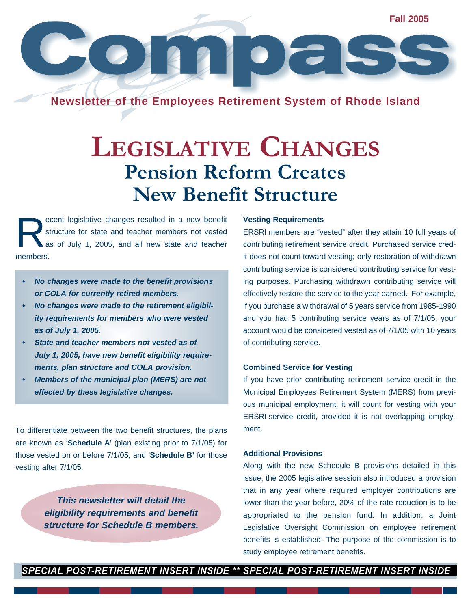**Fall 2005**  $\blacksquare \bullet \vdash \vdash$ 

**Newsletter of the Employees Retirement System of Rhode Island**

## **LEGISLATIVE CHANGES Pension Reform Creates New Benefit Structure**

R ecent legislative changes resulted in a new benefit structure for state and teacher members not vested as of July 1, 2005, and all new state and teacher members.

- *• No changes were made to the benefit provisions or COLA for currently retired members.*
- *• No changes were made to the retirement eligibility requirements for members who were vested as of July 1, 2005.*
- *• State and teacher members not vested as of July 1, 2005, have new benefit eligibility requirements, plan structure and COLA provision.*
- *• Members of the municipal plan (MERS) are not effected by these legislative changes.*

To differentiate between the two benefit structures, the plans are known as '**Schedule A'** (plan existing prior to 7/1/05) for those vested on or before 7/1/05, and '**Schedule B'** for those vesting after 7/1/05.

> *This newsletter will detail the eligibility requirements and benefit structure for Schedule B members.*

#### **Vesting Requirements**

ERSRI members are "vested" after they attain 10 full years of contributing retirement service credit. Purchased service credit does not count toward vesting; only restoration of withdrawn contributing service is considered contributing service for vesting purposes. Purchasing withdrawn contributing service will effectively restore the service to the year earned. For example, if you purchase a withdrawal of 5 years service from 1985-1990 and you had 5 contributing service years as of 7/1/05, your account would be considered vested as of 7/1/05 with 10 years of contributing service.

#### **Combined Service for Vesting**

If you have prior contributing retirement service credit in the Municipal Employees Retirement System (MERS) from previous municipal employment, it will count for vesting with your ERSRI service credit, provided it is not overlapping employment.

#### **Additional Provisions**

Along with the new Schedule B provisions detailed in this issue, the 2005 legislative session also introduced a provision that in any year where required employer contributions are lower than the year before, 20% of the rate reduction is to be appropriated to the pension fund. In addition, a Joint Legislative Oversight Commission on employee retirement benefits is established. The purpose of the commission is to study employee retirement benefits.

SPECIAL POST-RETIREMENT INSERT INSIDE \*\* SPECIAL POST-RETIREMENT INSERT INSIDE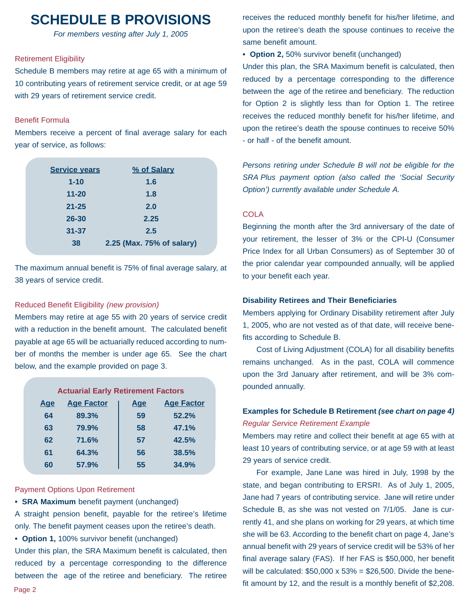### **SCHEDULE B PROVISIONS**

*For members vesting after July 1, 2005*

#### Retirement Eligibility

Schedule B members may retire at age 65 with a minimum of 10 contributing years of retirement service credit, or at age 59 with 29 years of retirement service credit.

#### Benefit Formula

Members receive a percent of final average salary for each year of service, as follows:

| <b>Service years</b> | % of Salary               |
|----------------------|---------------------------|
| $1 - 10$             | 1.6                       |
| $11 - 20$            | 1.8                       |
| $21 - 25$            | 2.0                       |
| 26-30                | 2.25                      |
| $31 - 37$            | 2.5                       |
| 38                   | 2.25 (Max. 75% of salary) |

The maximum annual benefit is 75% of final average salary, at 38 years of service credit.

#### Reduced Benefit Eligibility *(new provision)*

Members may retire at age 55 with 20 years of service credit with a reduction in the benefit amount. The calculated benefit payable at age 65 will be actuarially reduced according to number of months the member is under age 65. See the chart below, and the example provided on page 3.

| <b>Actuarial Early Retirement Factors</b> |                   |            |                   |  |  |  |  |
|-------------------------------------------|-------------------|------------|-------------------|--|--|--|--|
| <b>Age</b>                                | <b>Age Factor</b> | <u>Age</u> | <b>Age Factor</b> |  |  |  |  |
| 64                                        | 89.3%             | 59         | 52.2%             |  |  |  |  |
| 63                                        | 79.9%             | 58         | 47.1%             |  |  |  |  |
| 62                                        | 71.6%             | 57         | 42.5%             |  |  |  |  |
| 61                                        | 64.3%             | 56         | 38.5%             |  |  |  |  |
| 60                                        | 57.9%             | 55         | 34.9%             |  |  |  |  |

#### Payment Options Upon Retirement

**• SRA Maximum** benefit payment (unchanged)

A straight pension benefit, payable for the retiree's lifetime only. The benefit payment ceases upon the retiree's death.

**• Option 1,** 100% survivor benefit (unchanged)

Under this plan, the SRA Maximum benefit is calculated, then reduced by a percentage corresponding to the difference between the age of the retiree and beneficiary. The retiree receives the reduced monthly benefit for his/her lifetime, and upon the retiree's death the spouse continues to receive the same benefit amount.

**• Option 2,** 50% survivor benefit (unchanged)

Under this plan, the SRA Maximum benefit is calculated, then reduced by a percentage corresponding to the difference between the age of the retiree and beneficiary. The reduction for Option 2 is slightly less than for Option 1. The retiree receives the reduced monthly benefit for his/her lifetime, and upon the retiree's death the spouse continues to receive 50% - or half - of the benefit amount.

*Persons retiring under Schedule B will not be eligible for the SRA Plus payment option (also called the 'Social Security Option') currently available under Schedule A.*

#### COLA

Beginning the month after the 3rd anniversary of the date of your retirement, the lesser of 3% or the CPI-U (Consumer Price Index for all Urban Consumers) as of September 30 of the prior calendar year compounded annually, will be applied to your benefit each year.

#### **Disability Retirees and Their Beneficiaries**

Members applying for Ordinary Disability retirement after July 1, 2005, who are not vested as of that date, will receive benefits according to Schedule B.

Cost of Living Adjustment (COLA) for all disability benefits remains unchanged. As in the past, COLA will commence upon the 3rd January after retirement, and will be 3% compounded annually.

#### **Examples for Schedule B Retirement** *(see chart on page 4) Regular Service Retirement Example*

Members may retire and collect their benefit at age 65 with at least 10 years of contributing service, or at age 59 with at least 29 years of service credit.

For example, Jane Lane was hired in July, 1998 by the state, and began contributing to ERSRI. As of July 1, 2005, Jane had 7 years of contributing service. Jane will retire under Schedule B, as she was not vested on 7/1/05. Jane is currently 41, and she plans on working for 29 years, at which time she will be 63. According to the benefit chart on page 4, Jane's annual benefit with 29 years of service credit will be 53% of her final average salary (FAS). If her FAS is \$50,000, her benefit will be calculated:  $$50,000 \times 53\% = $26,500$ . Divide the benefit amount by 12, and the result is a monthly benefit of \$2,208.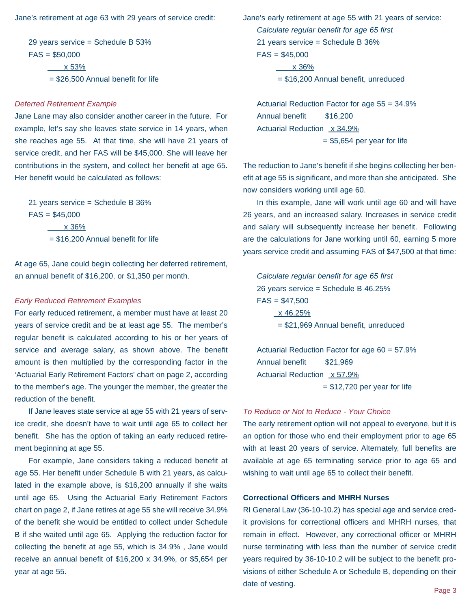Jane's retirement at age 63 with 29 years of service credit:

29 years service = Schedule B 53%  $FAS = $50,000$  x 53% = \$26,500 Annual benefit for life

#### *Deferred Retirement Example*

Jane Lane may also consider another career in the future. For example, let's say she leaves state service in 14 years, when she reaches age 55. At that time, she will have 21 years of service credit, and her FAS will be \$45,000. She will leave her contributions in the system, and collect her benefit at age 65. Her benefit would be calculated as follows:

21 years service = Schedule B 36%  $FAS = $45,000$  x 36%  $= $16,200$  Annual benefit for life

At age 65, Jane could begin collecting her deferred retirement, an annual benefit of \$16,200, or \$1,350 per month.

#### *Early Reduced Retirement Examples*

For early reduced retirement, a member must have at least 20 years of service credit and be at least age 55. The member's regular benefit is calculated according to his or her years of service and average salary, as shown above. The benefit amount is then multiplied by the corresponding factor in the 'Actuarial Early Retirement Factors' chart on page 2, according to the member's age. The younger the member, the greater the reduction of the benefit.

If Jane leaves state service at age 55 with 21 years of service credit, she doesn't have to wait until age 65 to collect her benefit. She has the option of taking an early reduced retirement beginning at age 55.

For example, Jane considers taking a reduced benefit at age 55. Her benefit under Schedule B with 21 years, as calculated in the example above, is \$16,200 annually if she waits until age 65. Using the Actuarial Early Retirement Factors chart on page 2, if Jane retires at age 55 she will receive 34.9% of the benefit she would be entitled to collect under Schedule B if she waited until age 65. Applying the reduction factor for collecting the benefit at age 55, which is 34.9% , Jane would receive an annual benefit of \$16,200 x 34.9%, or \$5,654 per year at age 55.

Jane's early retirement at age 55 with 21 years of service: *Calculate regular benefit for age 65 first* 21 years service = Schedule B 36%  $FAS = $45,000$  x 36% = \$16,200 Annual benefit, unreduced

Actuarial Reduction Factor for age 55 = 34.9% Annual benefit \$16,200 Actuarial Reduction x 34.9%  $=$  \$5,654 per year for life

The reduction to Jane's benefit if she begins collecting her benefit at age 55 is significant, and more than she anticipated. She now considers working until age 60.

In this example, Jane will work until age 60 and will have 26 years, and an increased salary. Increases in service credit and salary will subsequently increase her benefit. Following are the calculations for Jane working until 60, earning 5 more years service credit and assuming FAS of \$47,500 at that time:

*Calculate regular benefit for age 65 first* 26 years service = Schedule B 46.25%  $FAS = $47,500$  x 46.25% = \$21,969 Annual benefit, unreduced

Actuarial Reduction Factor for age 60 = 57.9% Annual benefit \$21,969 Actuarial Reduction x 57.9%  $=$  \$12,720 per year for life

#### *To Reduce or Not to Reduce - Your Choice*

The early retirement option will not appeal to everyone, but it is an option for those who end their employment prior to age 65 with at least 20 years of service. Alternately, full benefits are available at age 65 terminating service prior to age 65 and wishing to wait until age 65 to collect their benefit.

#### **Correctional Officers and MHRH Nurses**

RI General Law (36-10-10.2) has special age and service credit provisions for correctional officers and MHRH nurses, that remain in effect. However, any correctional officer or MHRH nurse terminating with less than the number of service credit years required by 36-10-10.2 will be subject to the benefit provisions of either Schedule A or Schedule B, depending on their date of vesting.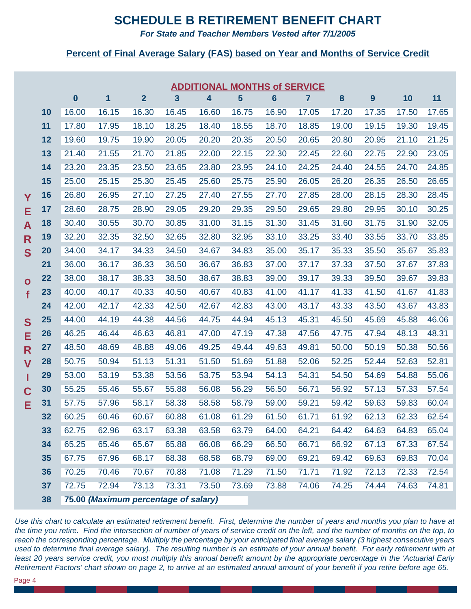### **SCHEDULE B RETIREMENT BENEFIT CHART**

*For State and Teacher Members Vested after 7/1/2005*

#### **Percent of Final Average Salary (FAS) based on Year and Months of Service Credit**

|              |    |                          |                                      |                |                | <b>ADDITIONAL MONTHS of SERVICE</b> |                |       |              |                 |       |       |       |
|--------------|----|--------------------------|--------------------------------------|----------------|----------------|-------------------------------------|----------------|-------|--------------|-----------------|-------|-------|-------|
|              |    | $\underline{\mathbf{0}}$ | $\overline{1}$                       | $\overline{2}$ | $\overline{3}$ | $\overline{4}$                      | $\overline{5}$ | 6     | $\mathbf{Z}$ | $\underline{8}$ | 9     | 10    | 11    |
|              | 10 | 16.00                    | 16.15                                | 16.30          | 16.45          | 16.60                               | 16.75          | 16.90 | 17.05        | 17.20           | 17.35 | 17.50 | 17.65 |
|              | 11 | 17.80                    | 17.95                                | 18.10          | 18.25          | 18.40                               | 18.55          | 18.70 | 18.85        | 19.00           | 19.15 | 19.30 | 19.45 |
|              | 12 | 19.60                    | 19.75                                | 19.90          | 20.05          | 20.20                               | 20.35          | 20.50 | 20.65        | 20.80           | 20.95 | 21.10 | 21.25 |
|              | 13 | 21.40                    | 21.55                                | 21.70          | 21.85          | 22.00                               | 22.15          | 22.30 | 22.45        | 22.60           | 22.75 | 22.90 | 23.05 |
|              | 14 | 23.20                    | 23.35                                | 23.50          | 23.65          | 23.80                               | 23.95          | 24.10 | 24.25        | 24.40           | 24.55 | 24.70 | 24.85 |
|              | 15 | 25.00                    | 25.15                                | 25.30          | 25.45          | 25.60                               | 25.75          | 25.90 | 26.05        | 26.20           | 26.35 | 26.50 | 26.65 |
| Y            | 16 | 26.80                    | 26.95                                | 27.10          | 27.25          | 27.40                               | 27.55          | 27.70 | 27.85        | 28.00           | 28.15 | 28.30 | 28.45 |
| Е            | 17 | 28.60                    | 28.75                                | 28.90          | 29.05          | 29.20                               | 29.35          | 29.50 | 29.65        | 29.80           | 29.95 | 30.10 | 30.25 |
| A            | 18 | 30.40                    | 30.55                                | 30.70          | 30.85          | 31.00                               | 31.15          | 31.30 | 31.45        | 31.60           | 31.75 | 31.90 | 32.05 |
| $\mathsf{R}$ | 19 | 32.20                    | 32.35                                | 32.50          | 32.65          | 32.80                               | 32.95          | 33.10 | 33.25        | 33.40           | 33.55 | 33.70 | 33.85 |
| S            | 20 | 34.00                    | 34.17                                | 34.33          | 34.50          | 34.67                               | 34.83          | 35.00 | 35.17        | 35.33           | 35.50 | 35.67 | 35.83 |
|              | 21 | 36.00                    | 36.17                                | 36.33          | 36.50          | 36.67                               | 36.83          | 37.00 | 37.17        | 37.33           | 37.50 | 37.67 | 37.83 |
| $\bullet$    | 22 | 38.00                    | 38.17                                | 38.33          | 38.50          | 38.67                               | 38.83          | 39.00 | 39.17        | 39.33           | 39.50 | 39.67 | 39.83 |
| f            | 23 | 40.00                    | 40.17                                | 40.33          | 40.50          | 40.67                               | 40.83          | 41.00 | 41.17        | 41.33           | 41.50 | 41.67 | 41.83 |
|              | 24 | 42.00                    | 42.17                                | 42.33          | 42.50          | 42.67                               | 42.83          | 43.00 | 43.17        | 43.33           | 43.50 | 43.67 | 43.83 |
| S            | 25 | 44.00                    | 44.19                                | 44.38          | 44.56          | 44.75                               | 44.94          | 45.13 | 45.31        | 45.50           | 45.69 | 45.88 | 46.06 |
| Е            | 26 | 46.25                    | 46.44                                | 46.63          | 46.81          | 47.00                               | 47.19          | 47.38 | 47.56        | 47.75           | 47.94 | 48.13 | 48.31 |
| $\mathsf{R}$ | 27 | 48.50                    | 48.69                                | 48.88          | 49.06          | 49.25                               | 49.44          | 49.63 | 49.81        | 50.00           | 50.19 | 50.38 | 50.56 |
| $\mathbf V$  | 28 | 50.75                    | 50.94                                | 51.13          | 51.31          | 51.50                               | 51.69          | 51.88 | 52.06        | 52.25           | 52.44 | 52.63 | 52.81 |
| ı            | 29 | 53.00                    | 53.19                                | 53.38          | 53.56          | 53.75                               | 53.94          | 54.13 | 54.31        | 54.50           | 54.69 | 54.88 | 55.06 |
| $\mathbf C$  | 30 | 55.25                    | 55.46                                | 55.67          | 55.88          | 56.08                               | 56.29          | 56.50 | 56.71        | 56.92           | 57.13 | 57.33 | 57.54 |
| Е            | 31 | 57.75                    | 57.96                                | 58.17          | 58.38          | 58.58                               | 58.79          | 59.00 | 59.21        | 59.42           | 59.63 | 59.83 | 60.04 |
|              | 32 | 60.25                    | 60.46                                | 60.67          | 60.88          | 61.08                               | 61.29          | 61.50 | 61.71        | 61.92           | 62.13 | 62.33 | 62.54 |
|              | 33 | 62.75                    | 62.96                                | 63.17          | 63.38          | 63.58                               | 63.79          | 64.00 | 64.21        | 64.42           | 64.63 | 64.83 | 65.04 |
|              | 34 | 65.25                    | 65.46                                | 65.67          | 65.88          | 66.08                               | 66.29          | 66.50 | 66.71        | 66.92           | 67.13 | 67.33 | 67.54 |
|              | 35 | 67.75                    | 67.96                                | 68.17          | 68.38          | 68.58                               | 68.79          | 69.00 | 69.21        | 69.42           | 69.63 | 69.83 | 70.04 |
|              | 36 | 70.25                    | 70.46                                | 70.67          | 70.88          | 71.08                               | 71.29          | 71.50 | 71.71        | 71.92           | 72.13 | 72.33 | 72.54 |
|              | 37 | 72.75                    | 72.94                                | 73.13          | 73.31          | 73.50                               | 73.69          | 73.88 | 74.06        | 74.25           | 74.44 | 74.63 | 74.81 |
|              | 38 |                          | 75.00 (Maximum percentage of salary) |                |                |                                     |                |       |              |                 |       |       |       |

*Use this chart to calculate an estimated retirement benefit. First, determine the number of years and months you plan to have at the time you retire. Find the intersection of number of years of service credit on the left, and the number of months on the top, to reach the corresponding percentage. Multiply the percentage by your anticipated final average salary (3 highest consecutive years used to determine final average salary). The resulting number is an estimate of your annual benefit. For early retirement with at least 20 years service credit, you must multiply this annual benefit amount by the appropriate percentage in the 'Actuarial Early Retirement Factors' chart shown on page 2, to arrive at an estimated annual amount of your benefit if you retire before age 65.*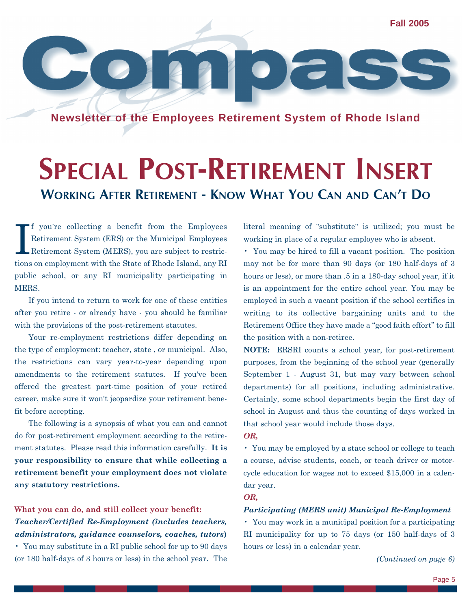**Fall 2005**

**Newsletter of the Employees Retirement System of Rhode Island**

## **SPECIAL POST-RETIREMENT INSERT WORKING AFTER RETIREMENT - KNOW WHAT YOU CAN AND CAN'T DO**

I f you're collecting a benefit from the Employees Retirement System (ERS) or the Municipal Employees Retirement System (MERS), you are subject to restrictions on employment with the State of Rhode Island, any RI public school, or any RI municipality participating in MERS.

If you intend to return to work for one of these entities after you retire - or already have - you should be familiar with the provisions of the post-retirement statutes.

Your re-employment restrictions differ depending on the type of employment: teacher, state , or municipal. Also, the restrictions can vary year-to-year depending upon amendments to the retirement statutes. If you've been offered the greatest part-time position of your retired career, make sure it won't jeopardize your retirement benefit before accepting.

The following is a synopsis of what you can and cannot do for post-retirement employment according to the retirement statutes. Please read this information carefully. **It is your responsibility to ensure that while collecting a retirement benefit your employment does not violate any statutory restrictions.** 

**What you can do, and still collect your benefit:** *Teacher/Certified Re-Employment (includes teachers, administrators, guidance counselors, coaches, tutors***)** 

• You may substitute in a RI public school for up to 90 days (or 180 half-days of 3 hours or less) in the school year. The literal meaning of "substitute" is utilized; you must be working in place of a regular employee who is absent.

• You may be hired to fill a vacant position. The position may not be for more than 90 days (or 180 half-days of 3 hours or less), or more than .5 in a 180-day school year, if it is an appointment for the entire school year. You may be employed in such a vacant position if the school certifies in writing to its collective bargaining units and to the Retirement Office they have made a "good faith effort" to fill the position with a non-retiree.

**NOTE:** ERSRI counts a school year, for post-retirement purposes, from the beginning of the school year (generally September 1 - August 31, but may vary between school departments) for all positions, including administrative. Certainly, some school departments begin the first day of school in August and thus the counting of days worked in that school year would include those days.

*OR,*

• You may be employed by a state school or college to teach a course, advise students, coach, or teach driver or motorcycle education for wages not to exceed \$15,000 in a calendar year.

*OR,*

#### *Participating (MERS unit) Municipal Re-Employment*

• You may work in a municipal position for a participating RI municipality for up to 75 days (or 150 half-days of 3 hours or less) in a calendar year.

*(Continued on page 6)*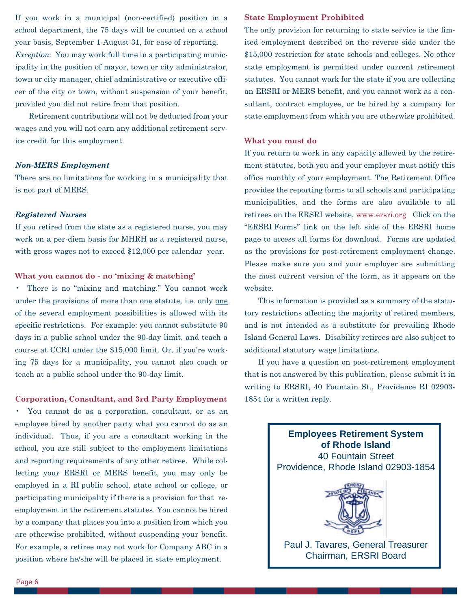If you work in a municipal (non-certified) position in a school department, the 75 days will be counted on a school year basis, September 1-August 31, for ease of reporting. *Exception:* You may work full time in a participating municipality in the position of mayor, town or city administrator, town or city manager, chief administrative or executive officer of the city or town, without suspension of your benefit, provided you did not retire from that position.

Retirement contributions will not be deducted from your wages and you will not earn any additional retirement service credit for this employment.

#### *Non-MERS Employment*

There are no limitations for working in a municipality that is not part of MERS.

#### *Registered Nurses*

If you retired from the state as a registered nurse, you may work on a per-diem basis for MHRH as a registered nurse, with gross wages not to exceed \$12,000 per calendar year.

#### **What you cannot do - no 'mixing & matching'**

• There is no "mixing and matching." You cannot work under the provisions of more than one statute, i.e. only one of the several employment possibilities is allowed with its specific restrictions. For example: you cannot substitute 90 days in a public school under the 90-day limit, and teach a course at CCRI under the \$15,000 limit. Or, if you're working 75 days for a municipality, you cannot also coach or teach at a public school under the 90-day limit.

#### **Corporation, Consultant, and 3rd Party Employment**

• You cannot do as a corporation, consultant, or as an employee hired by another party what you cannot do as an individual. Thus, if you are a consultant working in the school, you are still subject to the employment limitations and reporting requirements of any other retiree. While collecting your ERSRI or MERS benefit, you may only be employed in a RI public school, state school or college, or participating municipality if there is a provision for that reemployment in the retirement statutes. You cannot be hired by a company that places you into a position from which you are otherwise prohibited, without suspending your benefit. For example, a retiree may not work for Company ABC in a position where he/she will be placed in state employment.

#### **State Employment Prohibited**

The only provision for returning to state service is the limited employment described on the reverse side under the \$15,000 restriction for state schools and colleges. No other state employment is permitted under current retirement statutes. You cannot work for the state if you are collecting an ERSRI or MERS benefit, and you cannot work as a consultant, contract employee, or be hired by a company for state employment from which you are otherwise prohibited.

#### **What you must do**

If you return to work in any capacity allowed by the retirement statutes, both you and your employer must notify this office monthly of your employment. The Retirement Office provides the reporting forms to all schools and participating municipalities, and the forms are also available to all retirees on the ERSRI website, www.ersri.org Click on the "ERSRI Forms" link on the left side of the ERSRI home page to access all forms for download. Forms are updated as the provisions for post-retirement employment change. Please make sure you and your employer are submitting the most current version of the form, as it appears on the website.

This information is provided as a summary of the statutory restrictions affecting the majority of retired members, and is not intended as a substitute for prevailing Rhode Island General Laws. Disability retirees are also subject to additional statutory wage limitations.

If you have a question on post-retirement employment that is not answered by this publication, please submit it in writing to ERSRI, 40 Fountain St., Providence RI 02903- 1854 for a written reply.

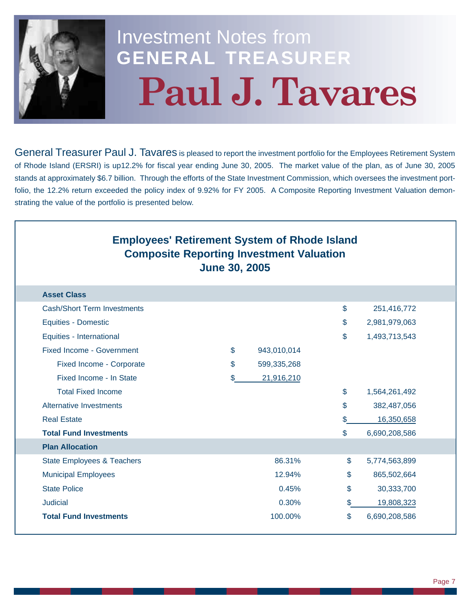

# Investment Notes from **GENERAL TREASURER Paul J. Tavares**

General Treasurer Paul J. Tavares is pleased to report the investment portfolio for the Employees Retirement System of Rhode Island (ERSRI) is up12.2% for fiscal year ending June 30, 2005. The market value of the plan, as of June 30, 2005 stands at approximately \$6.7 billion. Through the efforts of the State Investment Commission, which oversees the investment portfolio, the 12.2% return exceeded the policy index of 9.92% for FY 2005. A Composite Reporting Investment Valuation demonstrating the value of the portfolio is presented below.

| <b>Employees' Retirement System of Rhode Island</b><br><b>Composite Reporting Investment Valuation</b><br><b>June 30, 2005</b> |                           |             |    |               |  |  |  |  |
|--------------------------------------------------------------------------------------------------------------------------------|---------------------------|-------------|----|---------------|--|--|--|--|
| <b>Asset Class</b>                                                                                                             |                           |             |    |               |  |  |  |  |
| Cash/Short Term Investments                                                                                                    |                           |             | \$ | 251,416,772   |  |  |  |  |
| <b>Equities - Domestic</b>                                                                                                     |                           |             | \$ | 2,981,979,063 |  |  |  |  |
| Equities - International                                                                                                       |                           |             | \$ | 1,493,713,543 |  |  |  |  |
| <b>Fixed Income - Government</b>                                                                                               | \$                        | 943,010,014 |    |               |  |  |  |  |
| Fixed Income - Corporate                                                                                                       | \$                        | 599,335,268 |    |               |  |  |  |  |
| Fixed Income - In State                                                                                                        | \$                        | 21,916,210  |    |               |  |  |  |  |
| <b>Total Fixed Income</b>                                                                                                      |                           |             | \$ | 1,564,261,492 |  |  |  |  |
| <b>Alternative Investments</b>                                                                                                 |                           |             | \$ | 382,487,056   |  |  |  |  |
| <b>Real Estate</b>                                                                                                             |                           |             |    | 16,350,658    |  |  |  |  |
| <b>Total Fund Investments</b>                                                                                                  |                           |             | \$ | 6,690,208,586 |  |  |  |  |
| <b>Plan Allocation</b>                                                                                                         |                           |             |    |               |  |  |  |  |
| State Employees & Teachers                                                                                                     |                           | 86.31%      | \$ | 5,774,563,899 |  |  |  |  |
| <b>Municipal Employees</b>                                                                                                     |                           | 12.94%      | \$ | 865,502,664   |  |  |  |  |
| <b>State Police</b>                                                                                                            |                           | 0.45%       | \$ | 30,333,700    |  |  |  |  |
| <b>Judicial</b>                                                                                                                | 0.30%<br>\$<br>19,808,323 |             |    |               |  |  |  |  |
| <b>Total Fund Investments</b>                                                                                                  |                           | 100.00%     | \$ | 6,690,208,586 |  |  |  |  |